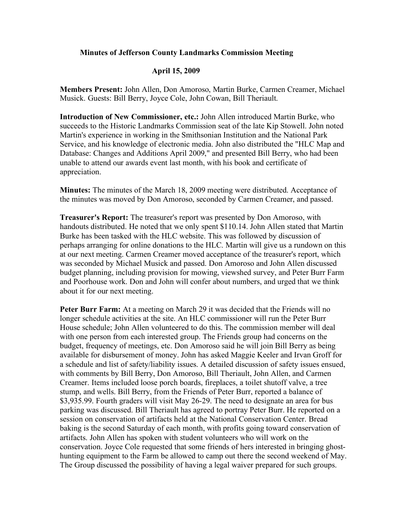## **Minutes of Jefferson County Landmarks Commission Meeting**

## **April 15, 2009**

**Members Present:** John Allen, Don Amoroso, Martin Burke, Carmen Creamer, Michael Musick. Guests: Bill Berry, Joyce Cole, John Cowan, Bill Theriault.

**Introduction of New Commissioner, etc.:** John Allen introduced Martin Burke, who succeeds to the Historic Landmarks Commission seat of the late Kip Stowell. John noted Martin's experience in working in the Smithsonian Institution and the National Park Service, and his knowledge of electronic media. John also distributed the "HLC Map and Database: Changes and Additions April 2009," and presented Bill Berry, who had been unable to attend our awards event last month, with his book and certificate of appreciation.

**Minutes:** The minutes of the March 18, 2009 meeting were distributed. Acceptance of the minutes was moved by Don Amoroso, seconded by Carmen Creamer, and passed.

**Treasurer's Report:** The treasurer's report was presented by Don Amoroso, with handouts distributed. He noted that we only spent \$110.14. John Allen stated that Martin Burke has been tasked with the HLC website. This was followed by discussion of perhaps arranging for online donations to the HLC. Martin will give us a rundown on this at our next meeting. Carmen Creamer moved acceptance of the treasurer's report, which was seconded by Michael Musick and passed. Don Amoroso and John Allen discussed budget planning, including provision for mowing, viewshed survey, and Peter Burr Farm and Poorhouse work. Don and John will confer about numbers, and urged that we think about it for our next meeting.

**Peter Burr Farm:** At a meeting on March 29 it was decided that the Friends will no longer schedule activities at the site. An HLC commissioner will run the Peter Burr House schedule; John Allen volunteered to do this. The commission member will deal with one person from each interested group. The Friends group had concerns on the budget, frequency of meetings, etc. Don Amoroso said he will join Bill Berry as being available for disbursement of money. John has asked Maggie Keeler and Irvan Groff for a schedule and list of safety/liability issues. A detailed discussion of safety issues ensued, with comments by Bill Berry, Don Amoroso, Bill Theriault, John Allen, and Carmen Creamer. Items included loose porch boards, fireplaces, a toilet shutoff valve, a tree stump, and wells. Bill Berry, from the Friends of Peter Burr, reported a balance of \$3,935.99. Fourth graders will visit May 26-29. The need to designate an area for bus parking was discussed. Bill Theriault has agreed to portray Peter Burr. He reported on a session on conservation of artifacts held at the National Conservation Center. Bread baking is the second Saturday of each month, with profits going toward conservation of artifacts. John Allen has spoken with student volunteers who will work on the conservation. Joyce Cole requested that some friends of hers interested in bringing ghosthunting equipment to the Farm be allowed to camp out there the second weekend of May. The Group discussed the possibility of having a legal waiver prepared for such groups.